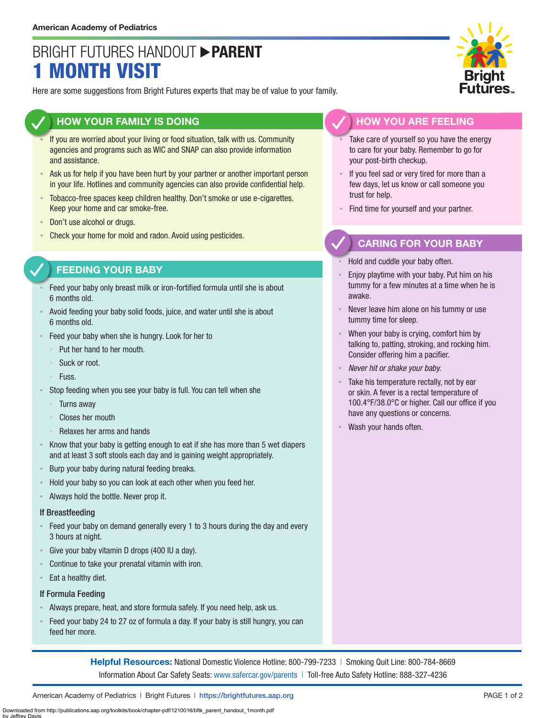# BRIGHT FUTURES HANDOUT **PARENT MONTH VISIT**

Here are some suggestions from Bright Futures experts that may be of value to your family.

## **HOW YOUR FAMILY IS DOING**

- If you are worried about your living or food situation, talk with us. Community agencies and programs such as WIC and SNAP can also provide information and assistance.
- Ask us for help if you have been hurt by your partner or another important person in your life. Hotlines and community agencies can also provide confidential help.
- Tobacco-free spaces keep children healthy. Don't smoke or use e-cigarettes. Keep your home and car smoke-free.
- **Don't use alcohol or drugs.**
- Check your home for mold and radon. Avoid using pesticides.

#### **FEEDING YOUR BABY**

- Feed your baby only breast milk or iron-fortified formula until she is about 6 months old.
- Avoid feeding your baby solid foods, juice, and water until she is about 6 months old.
- Feed your baby when she is hungry. Look for her to
	- Put her hand to her mouth.
	- Suck or root.
	- Fuss.
- Stop feeding when you see your baby is full. You can tell when she
	- Turns away
	- Closes her mouth
	- Relaxes her arms and hands
- Know that your baby is getting enough to eat if she has more than 5 wet diapers and at least 3 soft stools each day and is gaining weight appropriately.
- Burp your baby during natural feeding breaks.
- Hold your baby so you can look at each other when you feed her.
- Always hold the bottle. Never prop it.

#### If Breastfeeding

- Feed your baby on demand generally every 1 to 3 hours during the day and every 3 hours at night.
- Give your baby vitamin D drops (400 IU a day).
- Continue to take your prenatal vitamin with iron.
- Eat a healthy diet.

#### If Formula Feeding

- Always prepare, heat, and store formula safely. If you need help, ask us.
- Feed your baby 24 to 27 oz of formula a day. If your baby is still hungry, you can feed her more.

**Helpful Resources:** National Domestic Violence Hotline: 800-799-7233 | Smoking Quit Line: 800-784-8669 Information About Car Safety Seats: [www.safercar.gov/parents](https://www.nhtsa.gov/parents-and-caregivers) | Toll-free Auto Safety Hotline: 888-327-4236



## **HOW YOU ARE FEELING**

- Take care of yourself so you have the energy to care for your baby. Remember to go for your post-birth checkup.
- If you feel sad or very tired for more than a few days, let us know or call someone you trust for help.
- Find time for yourself and your partner.

## **CARING FOR YOUR BABY**

- Hold and cuddle your baby often.
- Enjoy playtime with your baby. Put him on his tummy for a few minutes at a time when he is awake.
- Never leave him alone on his tummy or use tummy time for sleep.
- When your baby is crying, comfort him by talking to, patting, stroking, and rocking him. Consider offering him a pacifier.
- *Never hit or shake your baby.*
- Take his temperature rectally, not by ear or skin. A fever is a rectal temperature of 100.4°F/38.0°C or higher. Call our office if you have any questions or concerns.
- Wash your hands often.

American Academy of Pediatrics | Bright Futures | https:/[/brightfutures.aap.org](https://brightfutures.aap.org/Pages/default.aspx) PAGE 1 of 2